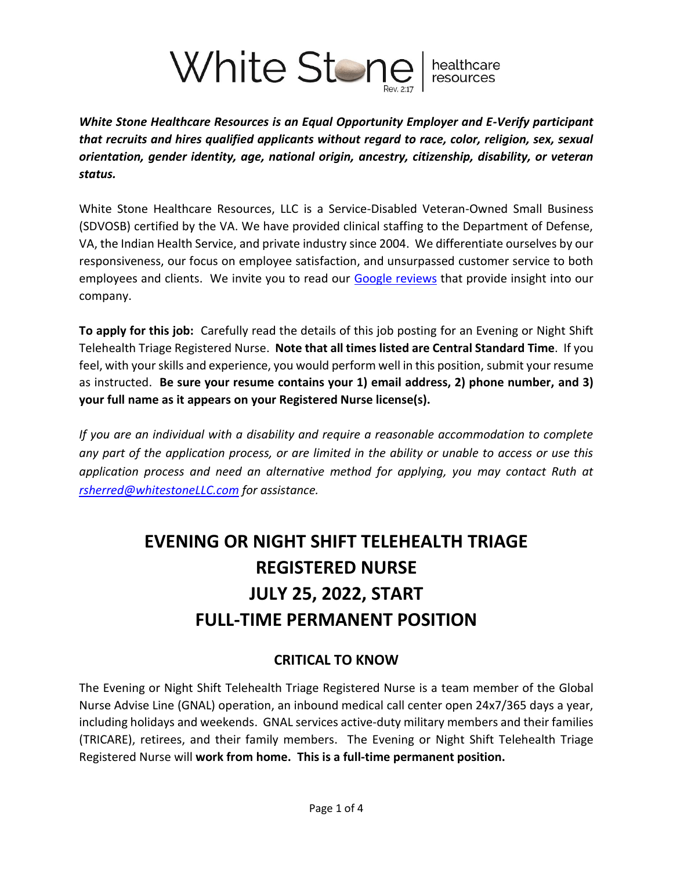

*White Stone Healthcare Resources is an Equal Opportunity Employer and E-Verify participant that recruits and hires qualified applicants without regard to race, color, religion, sex, sexual orientation, gender identity, age, national origin, ancestry, citizenship, disability, or veteran status.*

White Stone Healthcare Resources, LLC is a Service-Disabled Veteran-Owned Small Business (SDVOSB) certified by the VA. We have provided clinical staffing to the Department of Defense, VA, the Indian Health Service, and private industry since 2004. We differentiate ourselves by our responsiveness, our focus on employee satisfaction, and unsurpassed customer service to both employees and clients. We invite you to read our [Google reviews](https://www.google.com/search?client=firefox-b-1-d&q=white+stone+healthcare+resources#lrd=0x87f61baeeb379439:0x82676680e002b3ec,1,,,) that provide insight into our company.

**To apply for this job:** Carefully read the details of this job posting for an Evening or Night Shift Telehealth Triage Registered Nurse. **Note that all times listed are Central Standard Time**. If you feel, with your skills and experience, you would perform well in this position, submit your resume as instructed. **Be sure your resume contains your 1) email address, 2) phone number, and 3) your full name as it appears on your Registered Nurse license(s).**

*If you are an individual with a disability and require a reasonable accommodation to complete any part of the application process, or are limited in the ability or unable to access or use this application process and need an alternative method for applying, you may contact Ruth at [rsherred@whitestoneLLC.com](mailto:rsherred@whitestoneLLC.com) for assistance.*

# **EVENING OR NIGHT SHIFT TELEHEALTH TRIAGE REGISTERED NURSE JULY 25, 2022, START FULL-TIME PERMANENT POSITION**

## **CRITICAL TO KNOW**

The Evening or Night Shift Telehealth Triage Registered Nurse is a team member of the Global Nurse Advise Line (GNAL) operation, an inbound medical call center open 24x7/365 days a year, including holidays and weekends. GNAL services active-duty military members and their families (TRICARE), retirees, and their family members. The Evening or Night Shift Telehealth Triage Registered Nurse will **work from home. This is a full-time permanent position.**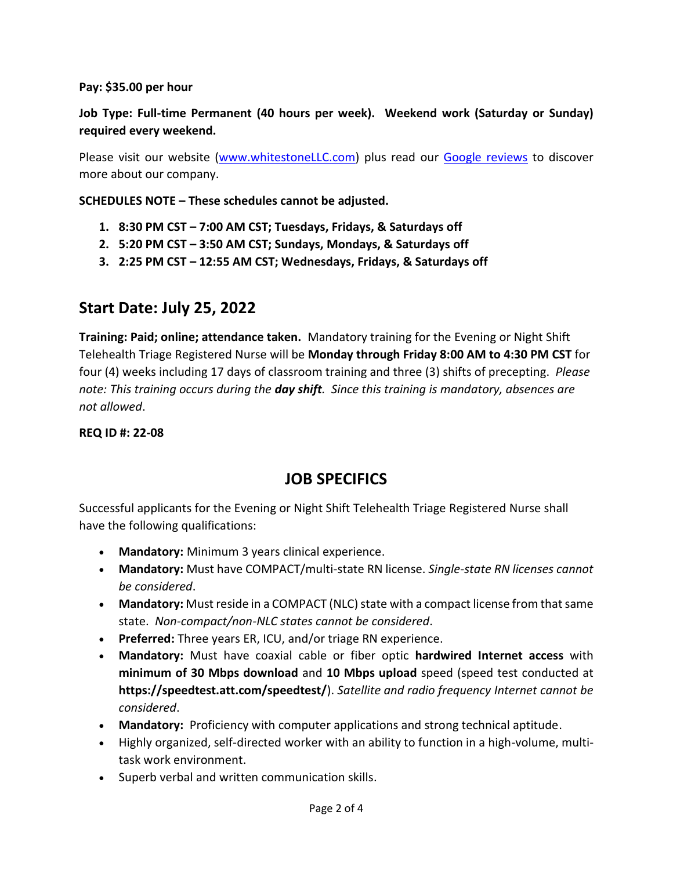#### **Pay: \$35.00 per hour**

## **Job Type: Full-time Permanent (40 hours per week). Weekend work (Saturday or Sunday) required every weekend.**

Please visit our website [\(www.whitestoneLLC.com\)](file:///C:/Users/Owner/White%20Stone%20Dropbox/Ruth%20Sherred/Dan) plus read our [Google reviews](https://www.google.com/search?q=White+Stone+Healthcare+Resources&source=hp&ei=U81QYeSZIZSH0Abouq7QAg&iflsig=ALs-wAMAAAAAYVDbY3hmVT2dvPVAJcX-uNzuS3lJWFs-&oq=White+Stone+Healthcare+Resources&gs_lcp=Cgdnd3Mtd2l6EAMyBQgAEIAEOgsIABCABBCxAxCDAToOCC4QgAQQsQMQxwEQowI6CAgAEIAEELEDOg4ILhCABBCxAxDHARDRAzoICC4QgAQQsQM6DgguELEDEIMBEMcBEK8BOgsILhCABBCxAxCDAToICAAQsQMQgwE6CwguEIAEELEDEJMCOgsILhCABBDHARCjAjoICAAQgAQQyQM6DgguEIAEELEDEIMBEJMCOgUILhCABDoECAAQAzoLCC4QgAQQxwEQrwE6CAguEIAEEJMCOggIABAWEAoQHlCPJVjaRWDpRmgAcAB4AYABqQKIAekgkgEGMC4zMS4xmAEAoAEB&sclient=gws-wiz&ved=0ahUKEwikj6CIs53zAhWUA9QKHWidCyoQ4dUDCAg&uact=5#lrd=0x87f61baeeb379439:0x82676680e002b3ec,1,,,) to discover more about our company.

**SCHEDULES NOTE – These schedules cannot be adjusted.**

- **1. 8:30 PM CST – 7:00 AM CST; Tuesdays, Fridays, & Saturdays off**
- **2. 5:20 PM CST – 3:50 AM CST; Sundays, Mondays, & Saturdays off**
- **3. 2:25 PM CST – 12:55 AM CST; Wednesdays, Fridays, & Saturdays off**

## **Start Date: July 25, 2022**

**Training: Paid; online; attendance taken.** Mandatory training for the Evening or Night Shift Telehealth Triage Registered Nurse will be **Monday through Friday 8:00 AM to 4:30 PM CST** for four (4) weeks including 17 days of classroom training and three (3) shifts of precepting. *Please note: This training occurs during the day shift. Since this training is mandatory, absences are not allowed*.

**REQ ID #: 22-08**

# **JOB SPECIFICS**

Successful applicants for the Evening or Night Shift Telehealth Triage Registered Nurse shall have the following qualifications:

- **Mandatory:** Minimum 3 years clinical experience.
- **Mandatory:** Must have COMPACT/multi-state RN license. *Single-state RN licenses cannot be considered*.
- **Mandatory:** Must reside in a COMPACT (NLC) state with a compact license from that same state. *Non-compact/non-NLC states cannot be considered*.
- **Preferred:** Three years ER, ICU, and/or triage RN experience.
- **Mandatory:** Must have coaxial cable or fiber optic **hardwired Internet access** with **minimum of 30 Mbps download** and **10 Mbps upload** speed (speed test conducted at **https://speedtest.att.com/speedtest/**). *Satellite and radio frequency Internet cannot be considered*.
- **Mandatory:** Proficiency with computer applications and strong technical aptitude.
- Highly organized, self-directed worker with an ability to function in a high-volume, multitask work environment.
- Superb verbal and written communication skills.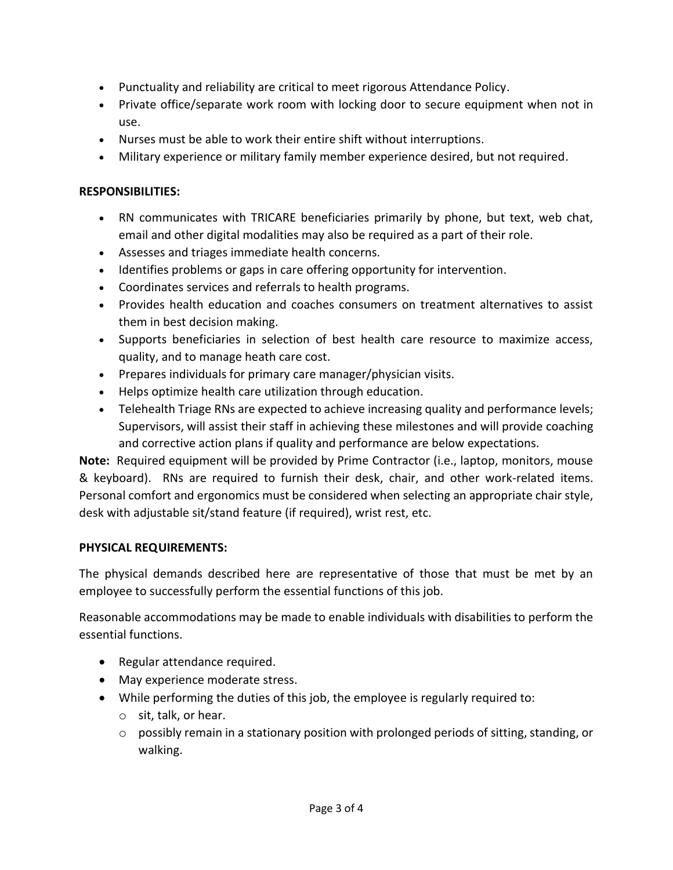- Punctuality and reliability are critical to meet rigorous Attendance Policy.
- Private office/separate work room with locking door to secure equipment when not in use.
- Nurses must be able to work their entire shift without interruptions.
- Military experience or military family member experience desired, but not required.

#### **RESPONSIBILITIES:**

- RN communicates with TRICARE beneficiaries primarily by phone, but text, web chat, email and other digital modalities may also be required as a part of their role.
- Assesses and triages immediate health concerns.
- Identifies problems or gaps in care offering opportunity for intervention.
- Coordinates services and referrals to health programs.
- Provides health education and coaches consumers on treatment alternatives to assist them in best decision making.
- Supports beneficiaries in selection of best health care resource to maximize access, quality, and to manage heath care cost.
- Prepares individuals for primary care manager/physician visits.
- Helps optimize health care utilization through education.
- Telehealth Triage RNs are expected to achieve increasing quality and performance levels; Supervisors, will assist their staff in achieving these milestones and will provide coaching and corrective action plans if quality and performance are below expectations.

**Note:** Required equipment will be provided by Prime Contractor (i.e., laptop, monitors, mouse & keyboard). RNs are required to furnish their desk, chair, and other work-related items. Personal comfort and ergonomics must be considered when selecting an appropriate chair style, desk with adjustable sit/stand feature (if required), wrist rest, etc.

#### **PHYSICAL REQUIREMENTS:**

The physical demands described here are representative of those that must be met by an employee to successfully perform the essential functions of this job.

Reasonable accommodations may be made to enable individuals with disabilities to perform the essential functions.

- Regular attendance required.
- May experience moderate stress.
- While performing the duties of this job, the employee is regularly required to:
	- o sit, talk, or hear.
	- $\circ$  possibly remain in a stationary position with prolonged periods of sitting, standing, or walking.